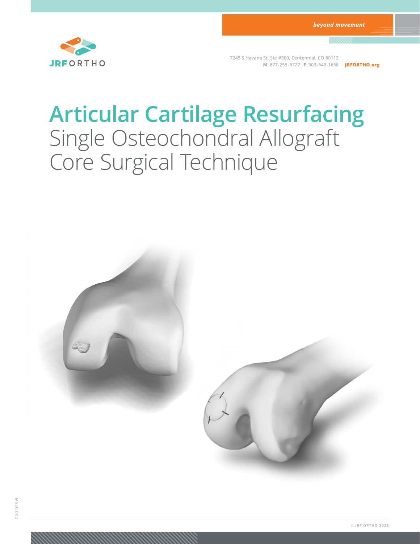

**7245 S Havana St, Ste #300, Centennial, CO 80112 M 877-255-6727 F 303-649-1658 JRFORTHO.org**

# **Articular Cartilage Resurfacing** Single Osteochondral Allograft Core Surgical Technique

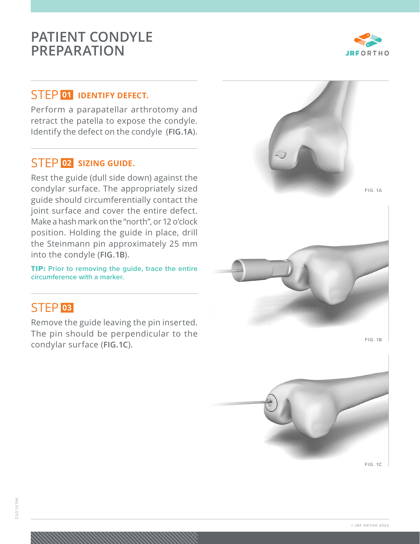## **PATIENT CONDYLE PREPARATION**



#### STEP **<sup>01</sup> IDENTIFY DEFECT.**

Perform a parapatellar arthrotomy and retract the patella to expose the condyle. Identify the defect on the condyle (**FIG. 1A**).

#### STEP **<sup>02</sup> SIZING GUIDE.**

Rest the guide (dull side down) against the condylar surface. The appropriately sized guide should circumferentially contact the joint surface and cover the entire defect. Make a hash mark on the "north", or 12 o'clock position. Holding the guide in place, drill the Steinmann pin approximately 25 mm into the condyle (**FIG. 1B**).

TIP: **Prior to removing the guide, trace the entire circumference with a marker.**

## STEP **<sup>03</sup>**

Remove the guide leaving the pin inserted. The pin should be perpendicular to the condylar surface (**FIG. 1C**).



**FIG. 1B**



**FIG. 1C**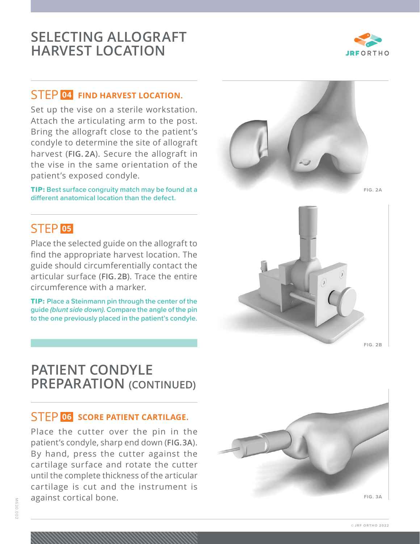#### STEP **<sup>04</sup> FIND HARVEST LOCATION.**

Set up the vise on a sterile workstation. Attach the articulating arm to the post. Bring the allograft close to the patient's condyle to determine the site of allograft harvest (**FIG. 2A**). Secure the allograft in the vise in the same orientation of the patient's exposed condyle.

TIP: **Best surface congruity match may be found at a different anatomical location than the defect.** 

## STEP **<sup>05</sup>**

Place the selected guide on the allograft to find the appropriate harvest location. The guide should circumferentially contact the articular surface (**FIG. 2B**). Trace the entire circumference with a marker.

TIP: **Place a Steinmann pin through the center of the guide** *(blunt side down)***. Compare the angle of the pin to the one previously placed in the patient's condyle.**

## **PATIENT CONDYLE PREPARATION (CONTINUED)**

#### STEP **<sup>06</sup> SCORE PATIENT CARTILAGE.**

Place the cutter over the pin in the patient's condyle, sharp end down (**FIG. 3A**). By hand, press the cutter against the cartilage surface and rotate the cutter until the complete thickness of the articular cartilage is cut and the instrument is against cortical bone.







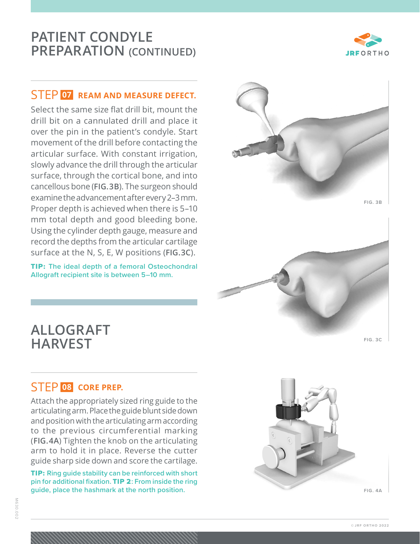## **PATIENT CONDYLE PREPARATION (CONTINUED)**

### STEP **<sup>07</sup> REAM AND MEASURE DEFECT.**

Select the same size flat drill bit, mount the drill bit on a cannulated drill and place it over the pin in the patient's condyle. Start movement of the drill before contacting the articular surface. With constant irrigation, slowly advance the drill through the articular surface, through the cortical bone, and into cancellous bone (**FIG. 3B**). The surgeon should examine the advancement after every 2–3 mm. Proper depth is achieved when there is 5–10 mm total depth and good bleeding bone. Using the cylinder depth gauge, measure and record the depths from the articular cartilage surface at the N, S, E, W positions (**FIG. 3C**).

TIP: **The ideal depth of a femoral Osteochondral Allograft recipient site is between 5–10 mm.**





## **ALLOGRAFT HARVEST**

#### STEP **<sup>08</sup> CORE PREP.**

Attach the appropriately sized ring guide to the articulating arm. Place the guide blunt side down and position with the articulating arm according to the previous circumferential marking (**FIG. 4A**) Tighten the knob on the articulating arm to hold it in place. Reverse the cutter guide sharp side down and score the cartilage.

TIP: **Ring guide stability can be reinforced with short pin for additional fixation.** TIP 2**: From inside the ring guide, place the hashmark at the north position.** 



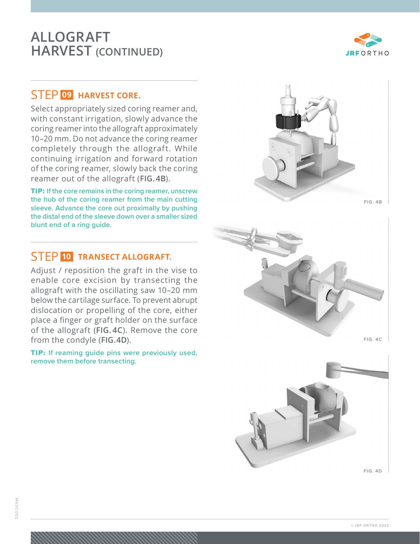## **ALLOGRAFT HARVEST (CONTINUED)**



### STEP **<sup>09</sup> HARVEST CORE.**

Select appropriately sized coring reamer and, with constant irrigation, slowly advance the coring reamer into the allograft approximately 10–20 mm. Do not advance the coring reamer completely through the allograft. While continuing irrigation and forward rotation of the coring reamer, slowly back the coring reamer out of the allograft (**FIG. 4B**).

TIP: **If the core remains in the coring reamer, unscrew the hub of the coring reamer from the main cutting sleeve. Advance the core out proximally by pushing the distal end of the sleeve down over a smaller sized blunt end of a ring guide.**

#### STEP **<sup>10</sup> TRANSECT ALLOGRAFT.**

Adjust / reposition the graft in the vise to enable core excision by transecting the allograft with the oscillating saw 10–20 mm below the cartilage surface. To prevent abrupt dislocation or propelling of the core, either place a finger or graft holder on the surface of the allograft (**FIG. 4C**). Remove the core from the condyle (**FIG. 4D**).

TIP: **If reaming guide pins were previously used, remove them before transecting.** 



 **FIG. 4B**



 **FIG. 4D**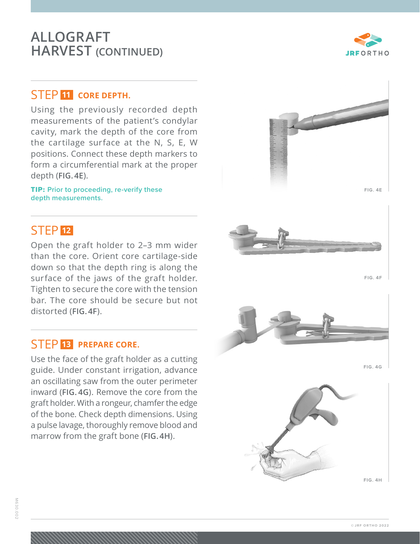## **ALLOGRAFT HARVEST (CONTINUED)**

#### STEP **<sup>11</sup> CORE DEPTH.**

Using the previously recorded depth measurements of the patient's condylar cavity, mark the depth of the core from the cartilage surface at the N, S, E, W positions. Connect these depth markers to form a circumferential mark at the proper depth (**FIG. 4E**).

TIP: **Prior to proceeding, re-verify these depth measurements.**

## STEP **<sup>12</sup>**

Open the graft holder to 2–3 mm wider than the core. Orient core cartilage-side down so that the depth ring is along the surface of the jaws of the graft holder. Tighten to secure the core with the tension bar. The core should be secure but not distorted (**FIG. 4F**).

#### STEP **<sup>13</sup> PREPARE CORE.**

Use the face of the graft holder as a cutting guide. Under constant irrigation, advance an oscillating saw from the outer perimeter inward (**FIG. 4G**). Remove the core from the graft holder. With a rongeur, chamfer the edge of the bone. Check depth dimensions. Using a pulse lavage, thoroughly remove blood and marrow from the graft bone (**FIG. 4H**).

**FIG. 4H**







**FIG. 4F**

**FIG. 4G**



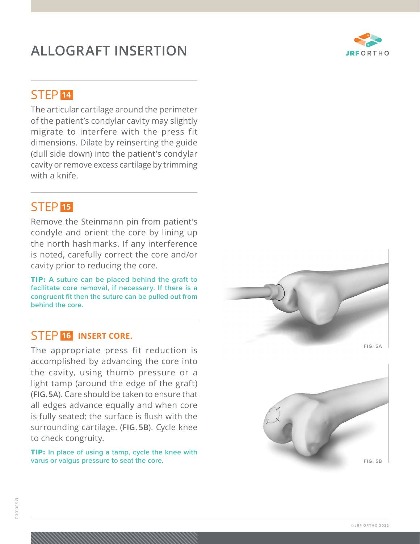## **ALLOGRAFT INSERTION**



## STEP **<sup>14</sup>**

The articular cartilage around the perimeter of the patient's condylar cavity may slightly migrate to interfere with the press fit dimensions. Dilate by reinserting the guide (dull side down) into the patient's condylar cavity or remove excess cartilage by trimming with a knife.

## STEP **<sup>15</sup>**

Remove the Steinmann pin from patient's condyle and orient the core by lining up the north hashmarks. If any interference is noted, carefully correct the core and/or cavity prior to reducing the core.

TIP: **A suture can be placed behind the graft to facilitate core removal, if necessary. If there is a congruent fit then the suture can be pulled out from behind the core.**

#### STEP **<sup>16</sup> INSERT CORE.**

The appropriate press fit reduction is accomplished by advancing the core into the cavity, using thumb pressure or a light tamp (around the edge of the graft) (**FIG. 5A**). Care should be taken to ensure that all edges advance equally and when core is fully seated; the surface is flush with the surrounding cartilage. (**FIG. 5B**). Cycle knee to check congruity.

TIP: **In place of using a tamp, cycle the knee with varus or valgus pressure to seat the core.**